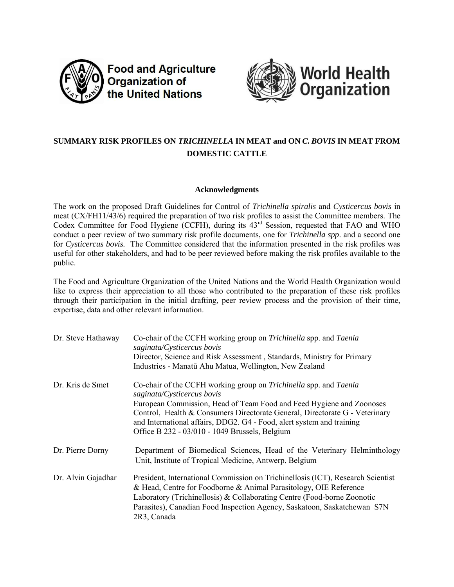

**Food and Agriculture** Organization of the United Nations



# **SUMMARY RISK PROFILES ON** *TRICHINELLA* **IN MEAT and ON** *C. BOVIS* **IN MEAT FROM DOMESTIC CATTLE**

## **Acknowledgments**

The work on the proposed Draft Guidelines for Control of *Trichinella spiralis* and *Cysticercus bovis* in meat (CX/FH11/43/6) required the preparation of two risk profiles to assist the Committee members. The Codex Committee for Food Hygiene (CCFH), during its 43<sup>rd</sup> Session, requested that FAO and WHO conduct a peer review of two summary risk profile documents, one for *Trichinella spp*. and a second one for *Cysticercus bovis.* The Committee considered that the information presented in the risk profiles was useful for other stakeholders, and had to be peer reviewed before making the risk profiles available to the public.

The Food and Agriculture Organization of the United Nations and the World Health Organization would like to express their appreciation to all those who contributed to the preparation of these risk profiles through their participation in the initial drafting, peer review process and the provision of their time, expertise, data and other relevant information.

| Dr. Steve Hathaway | Co-chair of the CCFH working group on Trichinella spp. and Taenia<br>saginata/Cysticercus bovis<br>Director, Science and Risk Assessment, Standards, Ministry for Primary                                                                                                                                                                                                         |
|--------------------|-----------------------------------------------------------------------------------------------------------------------------------------------------------------------------------------------------------------------------------------------------------------------------------------------------------------------------------------------------------------------------------|
|                    | Industries - Manatū Ahu Matua, Wellington, New Zealand                                                                                                                                                                                                                                                                                                                            |
| Dr. Kris de Smet   | Co-chair of the CCFH working group on Trichinella spp. and Taenia<br>saginata/Cysticercus bovis<br>European Commission, Head of Team Food and Feed Hygiene and Zoonoses<br>Control, Health & Consumers Directorate General, Directorate G - Veterinary<br>and International affairs, DDG2. G4 - Food, alert system and training<br>Office B 232 - 03/010 - 1049 Brussels, Belgium |
| Dr. Pierre Dorny   | Department of Biomedical Sciences, Head of the Veterinary Helminthology<br>Unit, Institute of Tropical Medicine, Antwerp, Belgium                                                                                                                                                                                                                                                 |
| Dr. Alvin Gajadhar | President, International Commission on Trichinellosis (ICT), Research Scientist<br>& Head, Centre for Foodborne & Animal Parasitology, OIE Reference<br>Laboratory (Trichinellosis) & Collaborating Centre (Food-borne Zoonotic<br>Parasites), Canadian Food Inspection Agency, Saskatoon, Saskatchewan S7N<br>2R3, Canada                                                        |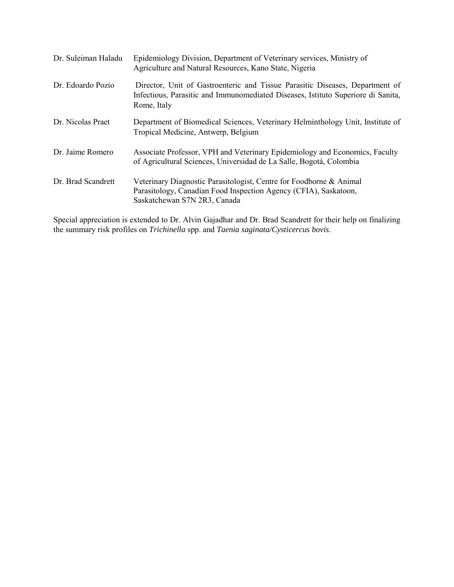| Dr. Suleiman Haladu | Epidemiology Division, Department of Veterinary services, Ministry of<br>Agriculture and Natural Resources, Kano State, Nigeria                                                 |
|---------------------|---------------------------------------------------------------------------------------------------------------------------------------------------------------------------------|
| Dr. Edoardo Pozio   | Director, Unit of Gastroenteric and Tissue Parasitic Diseases, Department of<br>Infectious, Parasitic and Immunomediated Diseases, Istituto Superiore di Sanita,<br>Rome, Italy |
| Dr. Nicolas Praet   | Department of Biomedical Sciences, Veterinary Helminthology Unit, Institute of<br>Tropical Medicine, Antwerp, Belgium                                                           |
| Dr. Jaime Romero    | Associate Professor, VPH and Veterinary Epidemiology and Economics, Faculty<br>of Agricultural Sciences, Universidad de La Salle, Bogotá, Colombia                              |
| Dr. Brad Scandrett  | Veterinary Diagnostic Parasitologist, Centre for Foodborne & Animal<br>Parasitology, Canadian Food Inspection Agency (CFIA), Saskatoon,<br>Saskatchewan S7N 2R3, Canada         |

Special appreciation is extended to Dr. Alvin Gajadhar and Dr. Brad Scandrett for their help on finalizing the summary risk profiles on *Trichinella* spp. and *Taenia saginata/Cysticercus bovis*.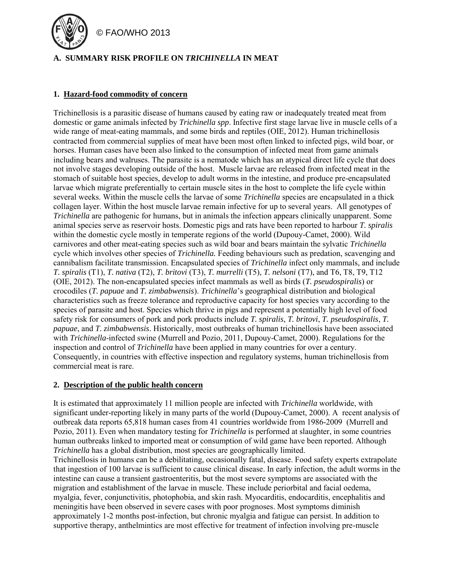

# **A. SUMMARY RISK PROFILE ON** *TRICHINELLA* **IN MEAT**

### **1. Hazard-food commodity of concern**

Trichinellosis is a parasitic disease of humans caused by eating raw or inadequately treated meat from domestic or game animals infected by *Trichinella spp*. Infective first stage larvae live in muscle cells of a wide range of meat-eating mammals, and some birds and reptiles (OIE, 2012). Human trichinellosis contracted from commercial supplies of meat have been most often linked to infected pigs, wild boar, or horses. Human cases have been also linked to the consumption of infected meat from game animals including bears and walruses. The parasite is a nematode which has an atypical direct life cycle that does not involve stages developing outside of the host. Muscle larvae are released from infected meat in the stomach of suitable host species, develop to adult worms in the intestine, and produce pre-encapsulated larvae which migrate preferentially to certain muscle sites in the host to complete the life cycle within several weeks. Within the muscle cells the larvae of some *Trichinella* species are encapsulated in a thick collagen layer. Within the host muscle larvae remain infective for up to several years. All genotypes of *Trichinella* are pathogenic for humans, but in animals the infection appears clinically unapparent. Some animal species serve as reservoir hosts. Domestic pigs and rats have been reported to harbour *T. spiralis* within the domestic cycle mostly in temperate regions of the world (Dupouy-Camet, 2000). Wild carnivores and other meat-eating species such as wild boar and bears maintain the sylvatic *Trichinella* cycle which involves other species of *Trichinella.* Feeding behaviours such as predation, scavenging and cannibalism facilitate transmission. Encapsulated species of *Trichinella* infect only mammals, and include *T. spiralis* (T1), *T. nativa* (T2), *T. britovi* (T3), *T. murrelli* (T5), *T. nelsoni* (T7), and T6, T8, T9, T12 (OIE, 2012). The non-encapsulated species infect mammals as well as birds (*T. pseudospiralis*) or crocodiles (*T. papuae* and *T. zimbabwensis*). *Trichinella*'s geographical distribution and biological characteristics such as freeze tolerance and reproductive capacity for host species vary according to the species of parasite and host. Species which thrive in pigs and represent a potentially high level of food safety risk for consumers of pork and pork products include *T. spiralis*, *T. britovi*, *T. pseudospiralis*, *T. papuae*, and *T. zimbabwensis*. Historically, most outbreaks of human trichinellosis have been associated with *Trichinella*-infected swine (Murrell and Pozio, 2011, Dupouy-Camet, 2000). Regulations for the inspection and control of *Trichinella* have been applied in many countries for over a century. Consequently, in countries with effective inspection and regulatory systems, human trichinellosis from commercial meat is rare.

#### **2. Description of the public health concern**

It is estimated that approximately 11 million people are infected with *Trichinella* worldwide, with significant under-reporting likely in many parts of the world (Dupouy-Camet, 2000). A recent analysis of outbreak data reports 65,818 human cases from 41 countries worldwide from 1986-2009 (Murrell and Pozio, 2011). Even when mandatory testing for *Trichinella* is performed at slaughter, in some countries human outbreaks linked to imported meat or consumption of wild game have been reported. Although *Trichinella* has a global distribution, most species are geographically limited.

Trichinellosis in humans can be a debilitating, occasionally fatal, disease. Food safety experts extrapolate that ingestion of 100 larvae is sufficient to cause clinical disease. In early infection, the adult worms in the intestine can cause a transient gastroenteritis, but the most severe symptoms are associated with the migration and establishment of the larvae in muscle. These include periorbital and facial oedema, myalgia, fever, conjunctivitis, photophobia, and skin rash. Myocarditis, endocarditis, encephalitis and meningitis have been observed in severe cases with poor prognoses. Most symptoms diminish approximately 1-2 months post-infection, but chronic myalgia and fatigue can persist. In addition to supportive therapy, anthelmintics are most effective for treatment of infection involving pre-muscle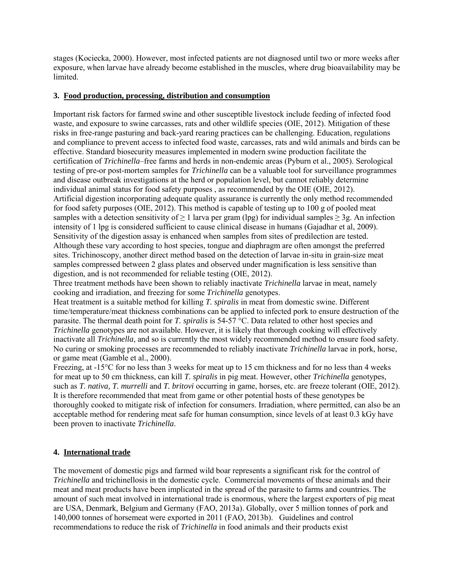stages (Kociecka, 2000). However, most infected patients are not diagnosed until two or more weeks after exposure, when larvae have already become established in the muscles, where drug bioavailability may be **limited** 

## **3. Food production, processing, distribution and consumption**

Important risk factors for farmed swine and other susceptible livestock include feeding of infected food waste, and exposure to swine carcasses, rats and other wildlife species (OIE, 2012). Mitigation of these risks in free-range pasturing and back-yard rearing practices can be challenging. Education, regulations and compliance to prevent access to infected food waste, carcasses, rats and wild animals and birds can be effective. Standard biosecurity measures implemented in modern swine production facilitate the certification of *Trichinella*–free farms and herds in non-endemic areas (Pyburn et al., 2005). Serological testing of pre-or post-mortem samples for *Trichinella* can be a valuable tool for surveillance programmes and disease outbreak investigations at the herd or population level, but cannot reliably determine individual animal status for food safety purposes , as recommended by the OIE (OIE, 2012). Artificial digestion incorporating adequate quality assurance is currently the only method recommended for food safety purposes (OIE, 2012). This method is capable of testing up to 100 g of pooled meat samples with a detection sensitivity of  $\geq 1$  larva per gram (lpg) for individual samples  $\geq 3g$ . An infection intensity of 1 lpg is considered sufficient to cause clinical disease in humans (Gajadhar et al, 2009). Sensitivity of the digestion assay is enhanced when samples from sites of predilection are tested. Although these vary according to host species, tongue and diaphragm are often amongst the preferred sites. Trichinoscopy, another direct method based on the detection of larvae in-situ in grain-size meat samples compressed between 2 glass plates and observed under magnification is less sensitive than digestion, and is not recommended for reliable testing (OIE, 2012).

Three treatment methods have been shown to reliably inactivate *Trichinella* larvae in meat, namely cooking and irradiation, and freezing for some *Trichinella* genotypes.

Heat treatment is a suitable method for killing *T. spiralis* in meat from domestic swine. Different time/temperature/meat thickness combinations can be applied to infected pork to ensure destruction of the parasite. The thermal death point for *T. spiralis* is 54-57 °C. Data related to other host species and *Trichinella* genotypes are not available. However, it is likely that thorough cooking will effectively inactivate all *Trichinella*, and so is currently the most widely recommended method to ensure food safety. No curing or smoking processes are recommended to reliably inactivate *Trichinella* larvae in pork, horse, or game meat (Gamble et al., 2000).

Freezing, at -15°C for no less than 3 weeks for meat up to 15 cm thickness and for no less than 4 weeks for meat up to 50 cm thickness, can kill *T. spiralis* in pig meat. However, other *Trichinella* genotypes, such as *T. nativa, T. murrelli* and *T. britovi* occurring in game, horses, etc. are freeze tolerant (OIE, 2012). It is therefore recommended that meat from game or other potential hosts of these genotypes be thoroughly cooked to mitigate risk of infection for consumers. Irradiation, where permitted, can also be an acceptable method for rendering meat safe for human consumption, since levels of at least 0.3 kGy have been proven to inactivate *Trichinella*.

# **4. International trade**

The movement of domestic pigs and farmed wild boar represents a significant risk for the control of *Trichinella* and trichinellosis in the domestic cycle. Commercial movements of these animals and their meat and meat products have been implicated in the spread of the parasite to farms and countries. The amount of such meat involved in international trade is enormous, where the largest exporters of pig meat are USA, Denmark, Belgium and Germany (FAO, 2013a). Globally, over 5 million tonnes of pork and 140,000 tonnes of horsemeat were exported in 2011 (FAO, 2013b). Guidelines and control recommendations to reduce the risk of *Trichinella* in food animals and their products exist